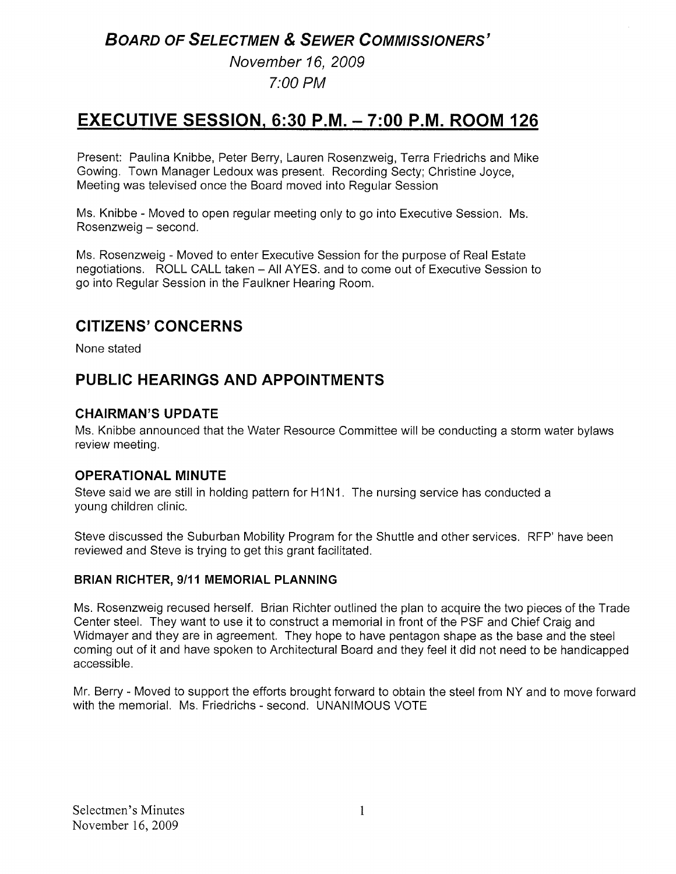# BOARD OF SELECTMEN & SEWER COMMISSIONERS'

# November 16, 2009 7:00 PM

# EXECUTIVE SESSION, 6:30 P.M. — 7:00 P.M. ROOM 126

Present: Paulina Knibbe, Peter Berry, Lauren Rosenzweig, Terra Friedrichs and Mike Gowing. Town Manager Ledoux was present. Recording Secty; Christine Joyce, Meeting was televised once the Board moved into Regular Session

Ms. Knibbe - Moved to open regular meeting only to go into Executive Session. Ms. Rosenzweig — second.

Ms. Rosenzweig - Moved to enter Executive Session for the purpose of Real Estate negotiations. ROLL CALL taken — All AYES. and to come out of Executive Session to go into Regular Session in the Faulkner Hearing Room.

# CITIZENS' CONCERNS

None stated

# PUBLIC HEARINGS AND APPOINTMENTS

# CHAIRMAN'S UPDATE

Ms. Knibbe announced that the Water Resource Committee will be conducting a storm water bylaws review meeting.

# OPERATIONAL MINUTE

Steve said we are still in holding pattern for H1N1. The nursing service has conducted a young children clinic.

Steve discussed the Suburban Mobility Program for the Shuttle and other services. RFP' have been reviewed and Steve is trying to get this grant facilitated.

# BRIAN RICHTER, 9/11 MEMORIAL PLANNING

Ms. Rosenzweig recused herself. Brian Richter outlined the plan to acquire the two pieces of the Trade Center steel. They want to use it to construct a memorial in front of the PSF and Chief Craig and Widmayer and they are in agreement. They hope to have pentagon shape as the base and the steel coming out of it and have spoken to Architectural Board and they feel it did not need to be handicapped accessible.

Mr. Berry - Moved to support the efforts brought forward to obtain the steel from NY and to move forward with the memorial. Ms. Friedrichs - second. UNANIMOUS VOTE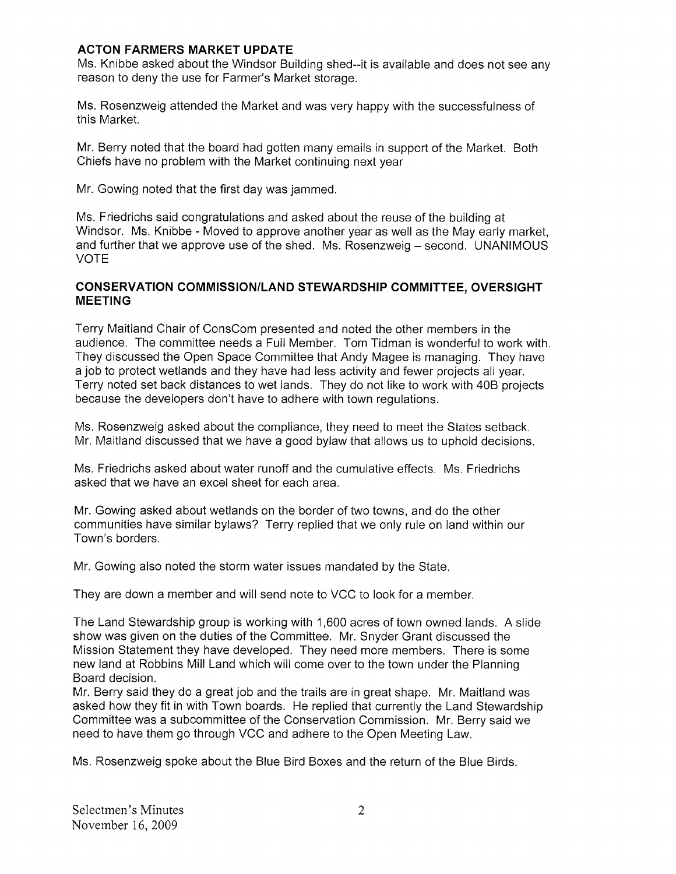#### ACTON FARMERS MARKET UPDATE

Ms. Knibbe asked about the Windsor Building shed--it is available and does not see any reason to deny the use for Farmer's Market storage.

Ms. Rosenzweig attended the Market and was very happy with the successfulness of this Market.

Mr. Berry noted that the board had gotten many emails in support of the Market. Both Chiefs have no problem with the Market continuing next year

Mr. Gowing noted that the first day was jammed.

Ms. Friedrichs said congratulations and asked about the reuse of the building at Windsor. Ms. Knibbe - Moved to approve another year as well as the May early market, and further that we approve use of the shed. Ms. Rosenzweig — second. UNANIMOUS VOTE

#### CONSERVATION COMMISSION/LAND STEWARDSHIP COMMITTEE, OVERSIGHT MEETING

Terry Maitland Chair of ConsCom presented and noted the other members in the audience. The committee needs a Full Member. Tom Tidman is wonderful to work with. They discussed the Open Space Committee that Andy Magee is managing. They have a job to protect wetlands and they have had less activity and fewer projects all year. Terry noted set back distances to wet lands. They do not like to work with 40B projects because the developers don't have to adhere with town regulations.

Ms. Rosenzweig asked about the compliance, they need to meet the States setback. Mr. Maitland discussed that we have a good bylaw that allows us to uphold decisions.

Ms. Friedrichs asked about water runoff and the cumulative effects. Ms. Friedrichs asked that we have an excel sheet for each area.

Mr. Gowing asked about wetlands on the border of two towns, and do the other communities have similar bylaws? Terry replied that we only rule on land within our Town's borders.

Mr. Gowing also noted the storm water issues mandated by the State.

They are down a member and will send note to VCC to look for a member.

The Land Stewardship group is working with 1,600 acres of town owned lands. A slide show was given on the duties of the Committee, Mr. Snyder Grant discussed the Mission Statement they have developed. They need more members. There is some new land at Robbins Mill Land which will come over to the town under the Planning Board decision.

Mr. Berry said they do a great job and the trails are in great shape. Mr. Maitland was asked how they fit in with Town boards. He replied that currently the Land Stewardship Committee was a subcommittee of the Conservation Commission. Mr. Berry said we need to have them go through VCC and adhere to the Open Meeting Law.

Ms. Rosenzweig spoke about the Blue Bird Boxes and the return of the Blue Birds.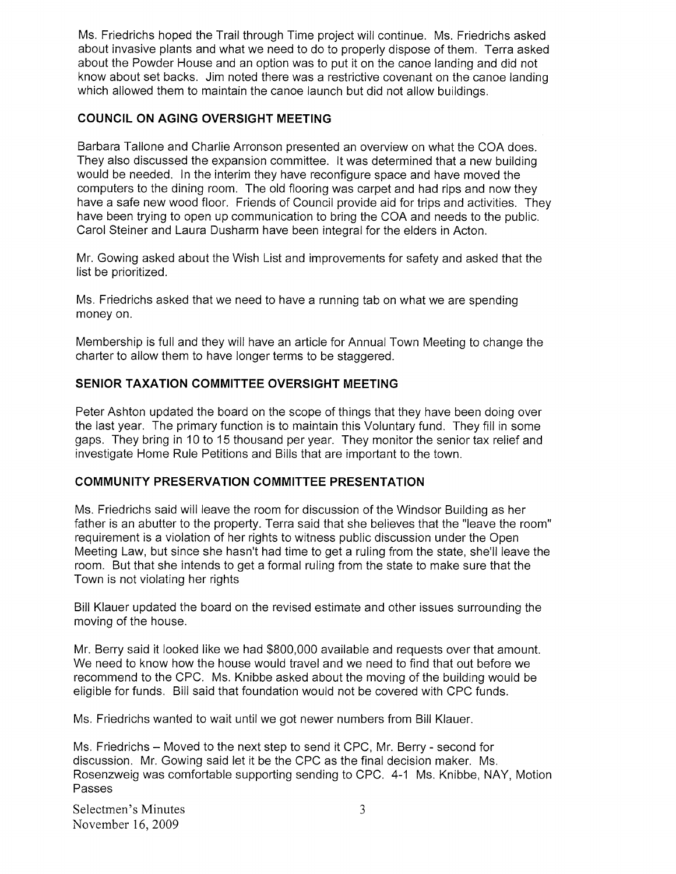Ms. Friedrichs hoped the Trail through Time project will continue. Ms. Friedrichs asked about invasive plants and what we need to do to properly dispose of them. Terra asked about the Powder House and an option was to put it on the canoe landing and did not know about set backs. Jim noted there was a restrictive covenant on the canoe landing which allowed them to maintain the canoe launch but did not allow buildings.

#### COUNCIL ON AGING OVERSIGHT MEETING

Barbara Tallone and Charlie Arronson presented an overview on what the COA does. They also discussed the expansion committee. It was determined that a new building would be needed. In the interim they have reconfigure space and have moved the computers to the dining room. The old flooring was carpet and had rips and now they have a safe new wood floor. Friends of Council provide aid for trips and activities. They have been trying to open up communication to bring the COA and needs to the public. Carol Steiner and Laura Dusharm have been integral for the elders in Acton.

Mr. Gowing asked about the Wish List and improvements for safety and asked that the list be prioritized.

Ms. Friedrichs asked that we need to have a running tab on what we are spending money on.

Membership is full and they will have an article for Annual Town Meeting to change the charter to allow them to have longer terms to be staggered.

#### SENIOR TAXATION COMMITTEE OVERSIGHT MEETING

Peter Ashton updated the board on the scope of things that they have been doing over the last year. The primary function is to maintain this Voluntary fund. They fill in some gaps. They bring in 10 to 15 thousand per year. They monitor the senior tax relief and investigate Home Rule Petitions and Bills that are important to the town.

#### COMMUNITY PRESERVATION COMMITTEE PRESENTATION

Ms. Friedrichs said will leave the room for discussion of the Windsor Building as her father is an abutter to the property. Terra said that she believes that the "leave the room" requirement is a violation of her rights to witness public discussion under the Open Meeting Law, but since she hasn't had time to get a ruling from the state, she'll leave the room. But that she intends to get a formal ruling from the state to make sure that the Town is not violating her rights

Bill Klauer updated the board on the revised estimate and other issues surrounding the moving of the house.

Mr. Berry said it looked like we had \$800,000 available and requests over that amount. We need to know how the house would travel and we need to find that out before we recommend to the CPC. Ms. Knibbe asked about the moving of the building would be eligible for funds. Bill said that foundation would not be covered with CPC funds.

Ms. Friedrichs wanted to wait until we got newer numbers from Bill Klauer.

Ms. Friedrichs – Moved to the next step to send it CPC, Mr. Berry - second for discussion. Mr. Gowing said let it be the CPC as the final decision maker. Ms. Rosenzweig was comfortable supporting sending to CPC. 4-1 Ms. Knibbe, NAY, Motion Passes

Selectmen's Minutes 3 November 16, 2009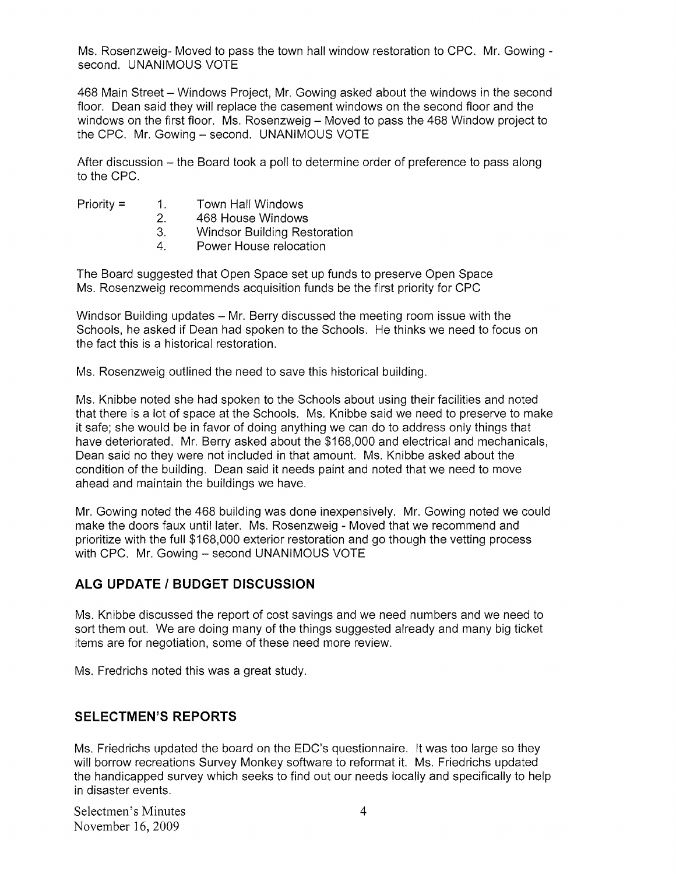Ms. Rosenzweig- Moved to pass the town hail window restoration to CPC. Mr. Gowing second. UNANIMOUS VOTE

468 Main Street — Windows Project, Mr. Gowing asked about the windows in the second floor. Dean said they will replace the casement windows on the second floor and the windows on the first floor. Ms. Rosenzweig — Moved to pass the 468 Window project to the CPC. Mr. Gowing — second. UNANIMOUS VOTE

After discussion — the Board took a poll to determine order of preference to pass along to the CPC.

- Priority = 1. Town Hall Windows
	- 2. 468 House Windows
	- 3. Windsor Building Restoration
	- 4. Power House relocation

The Board suggested that Open Space set up funds to preserve Open Space Ms. Rosenzweig recommends acquisition funds be the first priority for CPC

Windsor Building updates — Mr. Berry discussed the meeting room issue with the Schools, he asked if Dean had spoken to the Schools. He thinks we need to focus on the fact this is a historical restoration.

Ms. Rosenzweig outlined the need to save this historical building.

Ms. Knibbe noted she had spoken to the Schools about using their facilities and noted that there is a lot of space at the Schools. Ms. Knibbe said we need to preserve to make it safe; she would be in favor of doing anything we can do to address only things that have deteriorated. Mr. Berry asked about the \$168,000 and electrical and mechanicals, Dean said no they were not included in that amount. Ms. Knibbe asked about the condition of the building. Dean said it needs paint and noted that we need to move ahead and maintain the buildings we have.

Mr. Gowing noted the 468 building was done inexpensively. Mr. Gowing noted we could make the doors faux until later. Ms. Rosenzweig - Moved that we recommend and prioritize with the full \$168,000 exterior restoration and go though the vetting process with CPC. Mr. Gowing — second UNANIMOUS VOTE

# ALG UPDATE / BUDGET DISCUSSION

Ms. Knibbe discussed the report of cost savings and we need numbers and we need to sort them out. We are doing many of the things suggested already and many big ticket items are for negotiation, some of these need more review.

Ms. Fredrichs noted this was a great study.

# SELECTMEN'S REPORTS

Ms. Friedrichs updated the board on the EDO's questionnaire. it was too large so they will borrow recreations Survey Monkey software to reformat it. Ms. Friedrichs updated the handicapped survey which seeks to find out our needs locally and specifically to help in disaster events.

Selectmen's Minutes 4 November 16, 2009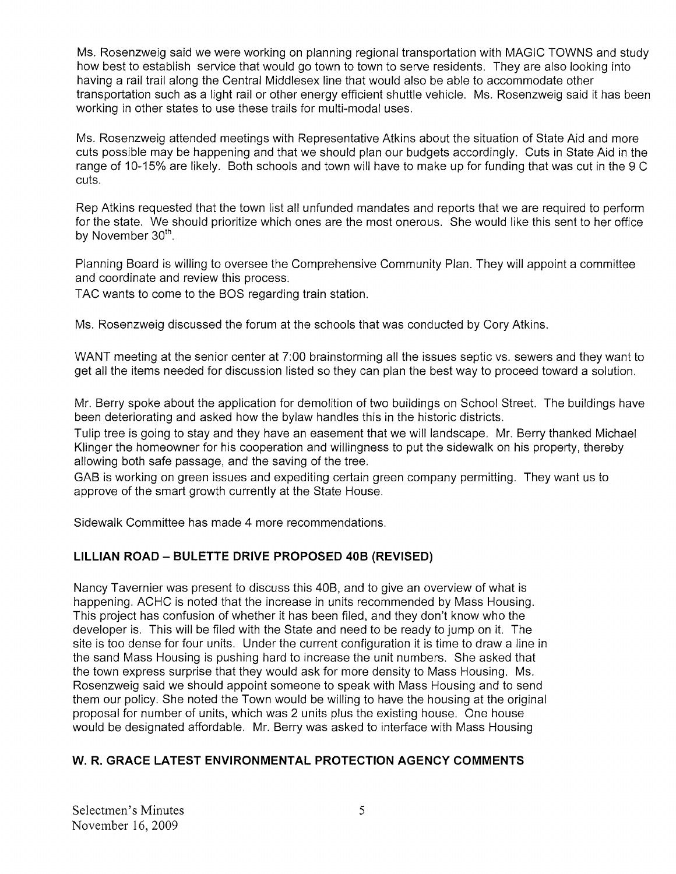Ms. Rosenzweig said we were working on planning regional transportation with MAGIC TOWNS and study how best to establish service that would go town to town to serve residents. They are also looking into having a rail trail along the Central Middlesex line that would also be able to accommodate other transportation such as a light rail or other energy efficient shuttle vehicle. Ms. Rosenzweig said it has been working in other states to use these trails for multi-modal uses.

Ms. Rosenzweig attended meetings with Representative Atkins about the situation of State Aid and more cuts possible may be happening and that we should plan our budgets accordingly. Cuts in State Aid in the range of 10-15% are likely. Both schools and town will have to make up for funding that was cut in the 9 C cuts.

Rep Atkins requested that the town list all unfunded mandates and reports that we are required to perform for the state. We should prioritize which ones are the most onerous. She would like this sent to her office<br>by November 30<sup>th</sup>.

Planning Board is willing to oversee the Comprehensive Community Plan. They will appoint a committee and coordinate and review this process.

TAC wants to come to the BOS regarding train station.

Ms. Rosenzweig discussed the forum at the schools that was conducted by Cory Atkins.

WANT meeting at the senior center at 7:00 brainstorming all the issues septic vs. sewers and they want to get all the items needed for discussion listed so they can plan the best way to proceed toward a solution.

Mr. Berry spoke about the application for demolition of two buildings on School Street, The buildings have been deteriorating and asked how the bylaw handles this in the historic districts.

Tulip tree is going to stay and they have an easement that we will landscape. Mr. Berry thanked Michael Klinger the homeowner for his cooperation and willingness to put the sidewalk on his property, thereby allowing both safe passage, and the saving of the tree.

GAB is working on green issues and expediting certain green company permitting. They want us to approve of the smart growth currently at the State House.

Sidewalk Committee has made 4 more recommendations.

# LILLIAN ROAD — BULETTE DRIVE PROPOSED 40B (REVISED)

Nancy Tavernier was present to discuss this 40B, and to give an overview of what is happening. ACHC is noted that the increase in units recommended by Mass Housing. This project has confusion of whether it has been filed, and they don't know who the developer is. This will be filed with the State and need to be ready to jump on it. The site is too dense for four units. Under the current configuration it is time to draw a line in the sand Mass Housing is pushing hard to increase the unit numbers. She asked that the town express surprise that they would ask for more density to Mass Housing. Ms. Rosenzweig said we should appoint someone to speak with Mass Housing and to send them our policy. She noted the Town would be willing to have the housing at the original proposal for number of units, which was 2 units plus the existing house. One house would be designated affordable. Mr. Berry was asked to interface with Mass Housing

# W. R. GRACE LATEST ENVIRONMENTAL PROTECTION AGENCY COMMENTS